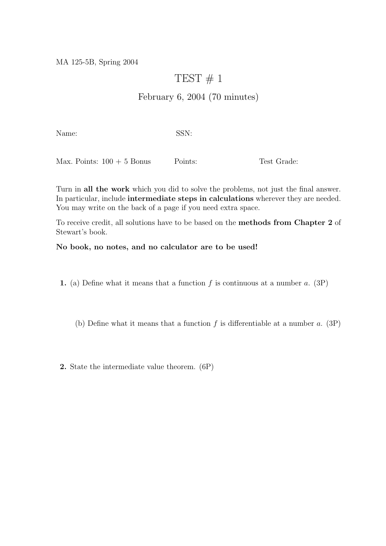MA 125-5B, Spring 2004

## TEST  $\#$  1

## February 6, 2004 (70 minutes)

Name: SSN:

Max. Points:  $100 + 5$  Bonus Points: Test Grade:

Turn in all the work which you did to solve the problems, not just the final answer. In particular, include intermediate steps in calculations wherever they are needed. You may write on the back of a page if you need extra space.

To receive credit, all solutions have to be based on the methods from Chapter 2 of Stewart's book.

## No book, no notes, and no calculator are to be used!

1. (a) Define what it means that a function  $f$  is continuous at a number  $a$ . (3P)

(b) Define what it means that a function  $f$  is differentiable at a number  $a$ . (3P)

2. State the intermediate value theorem. (6P)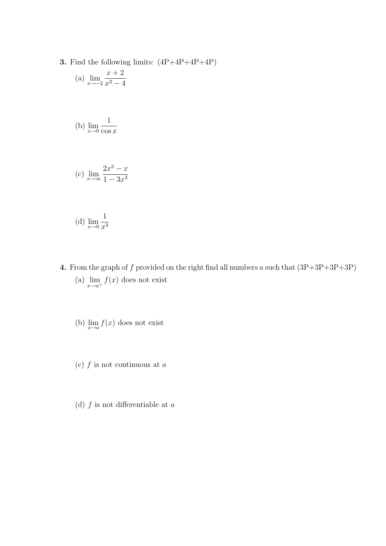**3.** Find the following limits:  $(4P+4P+4P+4P)$ 

(a) 
$$
\lim_{x \to -2} \frac{x+2}{x^2-4}
$$

(b) 
$$
\lim_{x \to 0} \frac{1}{\cos x}
$$

(c) 
$$
\lim_{x \to \infty} \frac{2x^3 - x}{1 - 3x^3}
$$

(d) 
$$
\lim_{x \to 0} \frac{1}{x^3}
$$

- 4. From the graph of f provided on the right find all numbers a such that  $(3P+3P+3P+3P)$ (a)  $\lim_{x \to a^+} f(x)$  does not exist
	- (b)  $\lim_{x\to a} f(x)$  does not exist
	- (c)  $f$  is not continuous at  $a$
	- (d)  $f$  is not differentiable at  $a$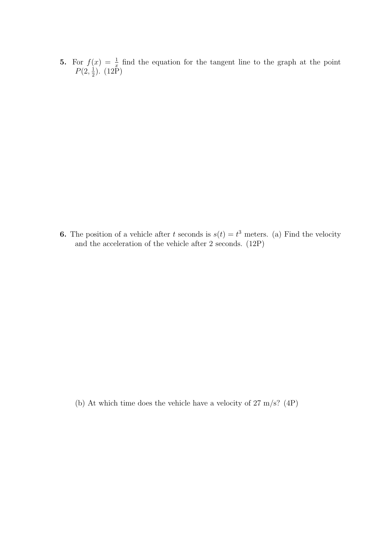5. For  $f(x) = \frac{1}{x}$  find the equation for the tangent line to the graph at the point  $P(2, \frac{1}{2})$  $(\frac{1}{2})$ .  $(12P)$ 

**6.** The position of a vehicle after t seconds is  $s(t) = t^3$  meters. (a) Find the velocity and the acceleration of the vehicle after 2 seconds. (12P)

(b) At which time does the vehicle have a velocity of 27 m/s? (4P)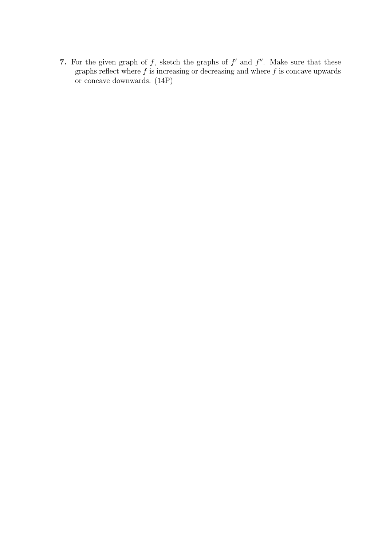7. For the given graph of f, sketch the graphs of  $f'$  and  $f''$ . Make sure that these graphs reflect where  $f$  is increasing or decreasing and where  $f$  is concave upwards or concave downwards. (14P)